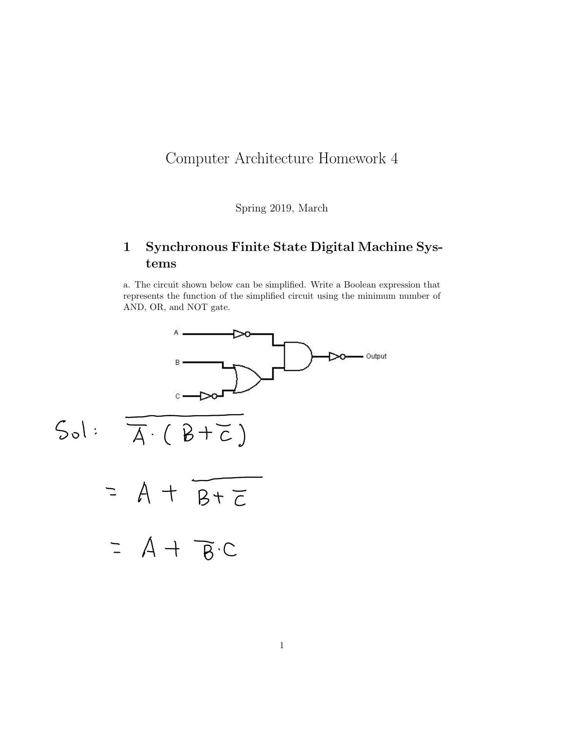## Computer Architecture Homework 4

Spring 2019, March

## 1 Synchronous Finite State Digital Machine Systems

a. The circuit shown below can be simplified. Write a Boolean expression that represents the function of the simplified circuit using the minimum number of AND, OR, and NOT gate.

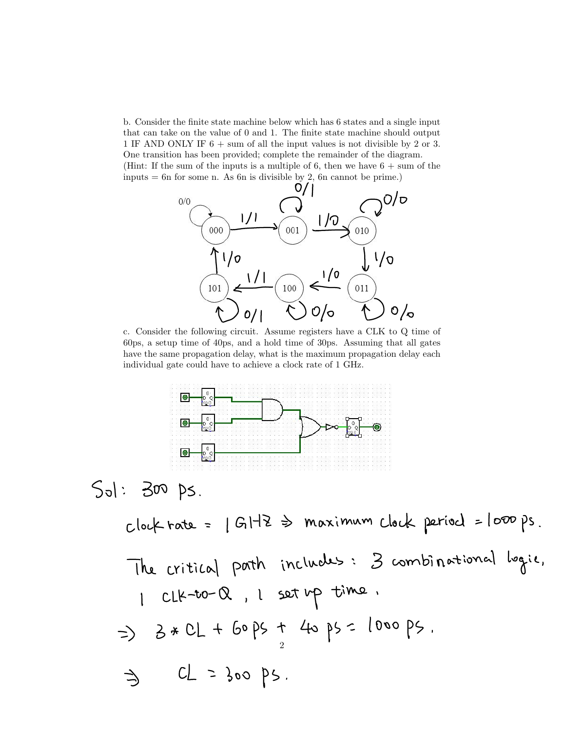b. Consider the finite state machine below which has 6 states and a single input that can take on the value of 0 and 1. The finite state machine should output 1 IF AND ONLY IF 6 + sum of all the input values is not divisible by 2 or 3. One transition has been provided; complete the remainder of the diagram. (Hint: If the sum of the inputs is a multiple of 6, then we have  $6 + \text{sum of the}$ ) inputs = 6n for some n. As 6n is divisible by 2, 6n cannot be prime.)



c. Consider the following circuit. Assume registers have a CLK to Q time of 60ps, a setup time of 40ps, and a hold time of 30ps. Assuming that all gates have the same propagation delay, what is the maximum propagation delay each individual gate could have to achieve a clock rate of 1 GHz.



 $Sol: 300$  ps

 $clock$  rate =  $|GHZ \Rightarrow$  maximum clock period = loop ps. The critical path includes: 3 combinational logie, 1 CLK-to-Q, 1 set up time.  $\Rightarrow$  3 \* CL + 60 ps + 40 ps = 1000 ps.  $CL = 300 \text{ ps}.$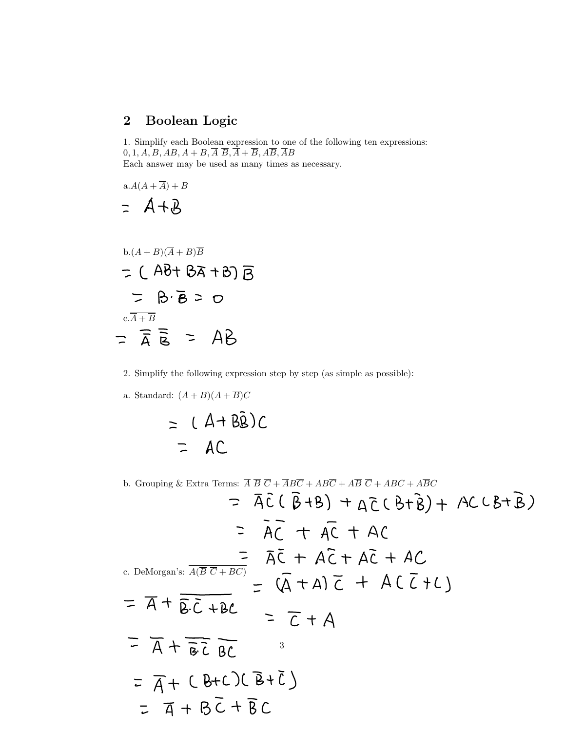## 2 Boolean Logic

1. Simplify each Boolean expression to one of the following ten expressions:  $0, 1, A, B, AB, A + B, \overline{A} \ \overline{B}, \overline{A} + \overline{B}, A\overline{B}, \overline{A}B$ Each answer may be used as many times as necessary.

$$
a.A(A + \overline{A}) + B
$$
  
= A + B

b.(A + B)(
$$
\overline{A}
$$
 + B) $\overline{B}$   
\n
$$
\overline{C} \quad (\overline{A} + \overline{B}) \quad (\overline{A} + \overline{B}) \quad (\overline{B} + \overline{B}) \quad (\overline{B} + \overline{B}) \quad (\overline{B} + \overline{B}) \quad (\overline{B} + \overline{B}) \quad (\overline{B} + \overline{B}) \quad (\overline{B} + \overline{B}) \quad (\overline{B} + \overline{B}) \quad (\overline{A} + \overline{B}) \quad (\overline{A} + \overline{B}) \quad (\overline{A} + \overline{B}) \quad (\overline{A} + \overline{B}) \quad (\overline{A} + \overline{B}) \quad (\overline{A} + \overline{B}) \quad (\overline{A} + \overline{B}) \quad (\overline{A} + \overline{B}) \quad (\overline{A} + \overline{B}) \quad (\overline{A} + \overline{B}) \quad (\overline{A} + \overline{B}) \quad (\overline{A} + \overline{B}) \quad (\overline{A} + \overline{B}) \quad (\overline{A} + \overline{B}) \quad (\overline{A} + \overline{B}) \quad (\overline{A} + \overline{B}) \quad (\overline{A} + \overline{B}) \quad (\overline{A} + \overline{B}) \quad (\overline{A} + \overline{B}) \quad (\overline{A} + \overline{B}) \quad (\overline{A} + \overline{B}) \quad (\overline{A} + \overline{B}) \quad (\overline{A} + \overline{B}) \quad (\overline{A} + \overline{B}) \quad (\overline{A} + \overline{B}) \quad (\overline{A} + \overline{B}) \quad (\overline{A} + \overline{B}) \quad (\overline{A} + \overline{B}) \quad (\overline{A} + \overline{B}) \quad (\overline{A} + \overline{B}) \quad (\overline{A} + \overline{B}) \quad (\overline{A} + \overline{B}) \quad (\overline{A} + \overline{B}) \quad (\overline{A} + \overline{B}) \quad (\overline{A} + \overline{B}) \quad (\overline{A} + \overline{B}) \quad (\overline{A} + \overline{B}) \quad (\overline{A} + \overline{B}) \quad (\overline{A} + \overline{B}) \quad (\
$$

2. Simplify the following expression step by step (as simple as possible):

a. Standard:  $(A + B)(A + \overline{B})C$ 

$$
= (A + B\overline{B})C
$$
  
= AC

b. Grouping & Extra Terms:  $\overline{A} \ \overline{B} \ \overline{C} + \overline{A} B \overline{C} + A B \overline{C} + A \overline{B} \ \overline{C} + A B C + A \overline{B} C$  $= \bar{A}\bar{C}(\bar{B}+B) + \bar{A}\bar{C}(\bar{B}+\bar{B}) + AC(\bar{B}+\bar{B})$  $=$   $AC + AC + AC$  $\frac{1}{\sqrt{2}} \frac{1}{\sqrt{2}} + \frac{1}{\sqrt{2}} + \frac{1}{\sqrt{2}}$ c. DeMorgan's:  $\frac{\overline{A(B C + BC)}}{\overline{B \cdot C} + \overline{B}C} = \frac{1}{\sqrt{2}} + \overline{A} + \frac{1}{\sqrt{2}} + \frac{1}{\sqrt{2}} + \frac{1}{\sqrt{2}} + \frac{1}{\sqrt{2}} + \frac{1}{\sqrt{2}} + \frac{1}{\sqrt{2}} + \frac{1}{\sqrt{2}} + \frac{1}{\sqrt{2}} + \frac{1}{\sqrt{2}} + \frac{1}{\sqrt{2}} + \$  $=$   $\overline{A}$  +  $\overline{B}\overline{C}$  BC 3 $= \overline{A} + (B + C) (B + \overline{C})$  $= \overline{4} + \overline{6}\overline{C} + \overline{B}C$